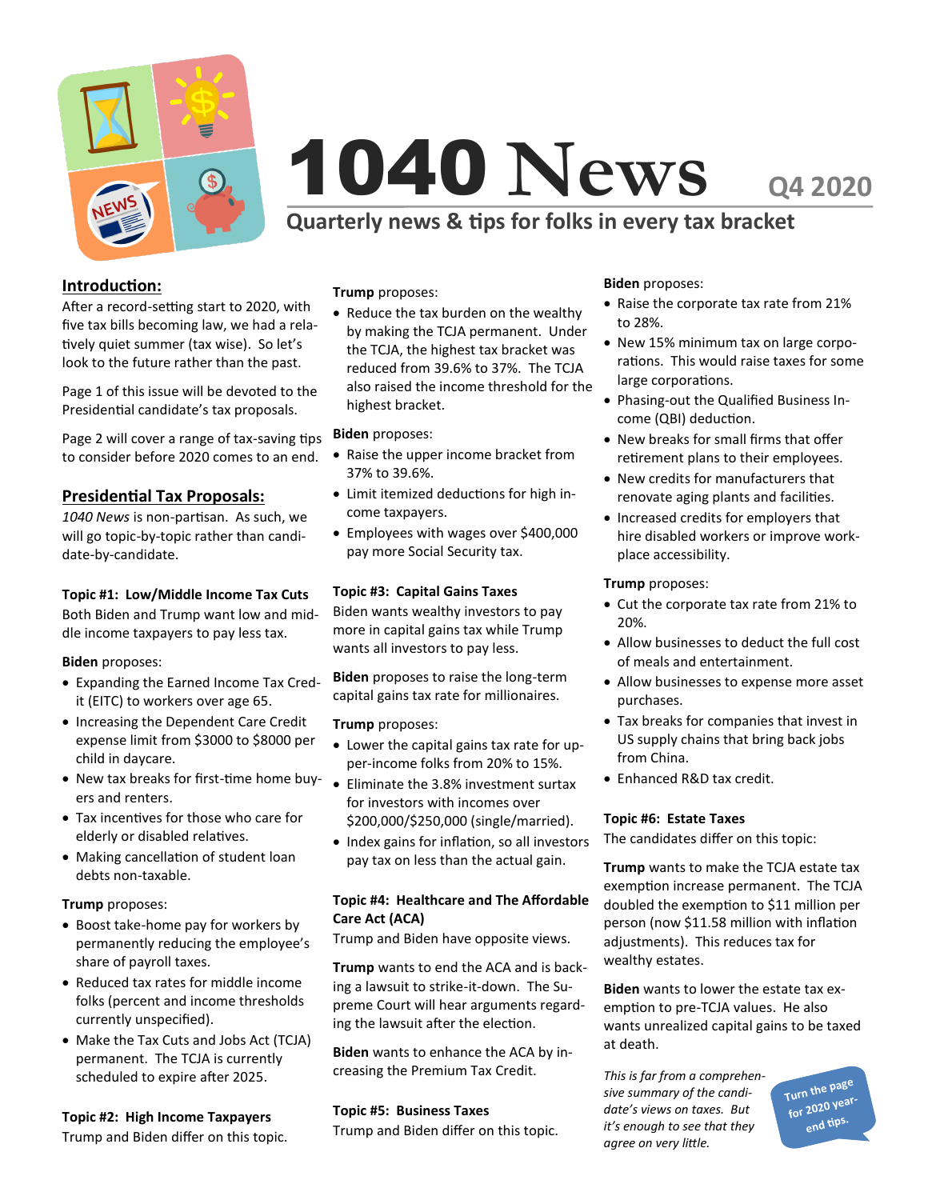

# 1040 **NewsQ4 2020**

# **Quarterly news & tips for folks in every tax bracket**

# **Introduction:**

After a record-setting start to 2020, with five tax bills becoming law, we had a relatively quiet summer (tax wise). So let's look to the future rather than the past.

Page 1 of this issue will be devoted to the Presidential candidate's tax proposals.

Page 2 will cover a range of tax-saving tips to consider before 2020 comes to an end.

## **Presidential Tax Proposals:**

*1040 News* is non-partisan. As such, we will go topic-by-topic rather than candidate-by-candidate.

#### **Topic #1: Low/Middle Income Tax Cuts**

Both Biden and Trump want low and middle income taxpayers to pay less tax.

#### **Biden** proposes:

- Expanding the Earned Income Tax Credit (EITC) to workers over age 65.
- Increasing the Dependent Care Credit expense limit from \$3000 to \$8000 per child in daycare.
- New tax breaks for first-time home buyers and renters.
- Tax incentives for those who care for elderly or disabled relatives.
- Making cancellation of student loan debts non-taxable.

#### **Trump** proposes:

- Boost take-home pay for workers by permanently reducing the employee's share of payroll taxes.
- Reduced tax rates for middle income folks (percent and income thresholds currently unspecified).
- Make the Tax Cuts and Jobs Act (TCJA) permanent. The TCJA is currently scheduled to expire after 2025.

#### **Topic #2: High Income Taxpayers**

Trump and Biden differ on this topic.

**Trump** proposes:

• Reduce the tax burden on the wealthy by making the TCJA permanent. Under the TCJA, the highest tax bracket was reduced from 39.6% to 37%. The TCJA also raised the income threshold for the highest bracket.

#### **Biden** proposes:

- Raise the upper income bracket from 37% to 39.6%.
- Limit itemized deductions for high income taxpayers.
- Employees with wages over \$400,000 pay more Social Security tax.

#### **Topic #3: Capital Gains Taxes**

Biden wants wealthy investors to pay more in capital gains tax while Trump wants all investors to pay less.

**Biden** proposes to raise the long-term capital gains tax rate for millionaires.

#### **Trump** proposes:

- Lower the capital gains tax rate for upper-income folks from 20% to 15%.
- Eliminate the 3.8% investment surtax for investors with incomes over \$200,000/\$250,000 (single/married).
- Index gains for inflation, so all investors pay tax on less than the actual gain.

### **Topic #4: Healthcare and The Affordable Care Act (ACA)**

Trump and Biden have opposite views.

**Trump** wants to end the ACA and is backing a lawsuit to strike-it-down. The Supreme Court will hear arguments regarding the lawsuit after the election.

**Biden** wants to enhance the ACA by increasing the Premium Tax Credit.

#### **Topic #5: Business Taxes**

Trump and Biden differ on this topic.

#### **Biden** proposes:

- Raise the corporate tax rate from 21% to 28%.
- New 15% minimum tax on large corporations. This would raise taxes for some large corporations.
- Phasing-out the Qualified Business Income (QBI) deduction.
- New breaks for small firms that offer retirement plans to their employees.
- New credits for manufacturers that renovate aging plants and facilities.
- Increased credits for employers that hire disabled workers or improve workplace accessibility.

#### **Trump** proposes:

- Cut the corporate tax rate from 21% to 20%.
- Allow businesses to deduct the full cost of meals and entertainment.
- Allow businesses to expense more asset purchases.
- Tax breaks for companies that invest in US supply chains that bring back jobs from China.
- Enhanced R&D tax credit.

#### **Topic #6: Estate Taxes**

The candidates differ on this topic:

**Trump** wants to make the TCJA estate tax exemption increase permanent. The TCJA doubled the exemption to \$11 million per person (now \$11.58 million with inflation adjustments). This reduces tax for wealthy estates.

**Biden** wants to lower the estate tax exemption to pre-TCJA values. He also wants unrealized capital gains to be taxed at death.

*This is far from a comprehensive summary of the candidate's views on taxes. But it's enough to see that they agree on very little.*

**Turn the page for 2020 yearend tips.**